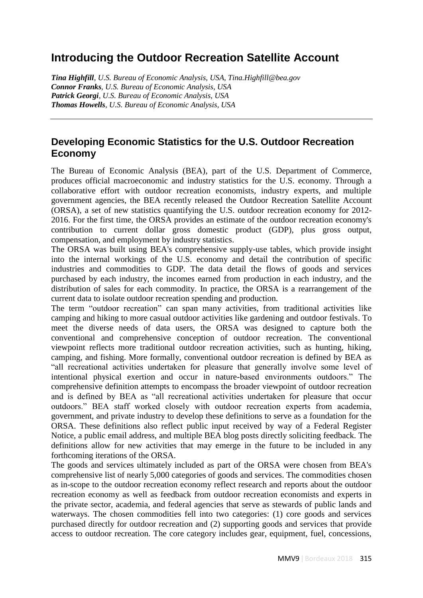## **Introducing the Outdoor Recreation Satellite Account**

*Tina Highfill, U.S. Bureau of Economic Analysis, USA, Tina.Highfill@bea.gov Connor Franks, U.S. Bureau of Economic Analysis, USA Patrick Georgi, U.S. Bureau of Economic Analysis, USA Thomas Howells, U.S. Bureau of Economic Analysis, USA*

## **Developing Economic Statistics for the U.S. Outdoor Recreation Economy**

The Bureau of Economic Analysis (BEA), part of the U.S. Department of Commerce, produces official macroeconomic and industry statistics for the U.S. economy. Through a collaborative effort with outdoor recreation economists, industry experts, and multiple government agencies, the BEA recently released the Outdoor Recreation Satellite Account (ORSA), a set of new statistics quantifying the U.S. outdoor recreation economy for 2012- 2016. For the first time, the ORSA provides an estimate of the outdoor recreation economy's contribution to current dollar gross domestic product (GDP), plus gross output, compensation, and employment by industry statistics.

The ORSA was built using BEA's comprehensive supply-use tables, which provide insight into the internal workings of the U.S. economy and detail the contribution of specific industries and commodities to GDP. The data detail the flows of goods and services purchased by each industry, the incomes earned from production in each industry, and the distribution of sales for each commodity. In practice, the ORSA is a rearrangement of the current data to isolate outdoor recreation spending and production.

The term "outdoor recreation" can span many activities, from traditional activities like camping and hiking to more casual outdoor activities like gardening and outdoor festivals. To meet the diverse needs of data users, the ORSA was designed to capture both the conventional and comprehensive conception of outdoor recreation. The conventional viewpoint reflects more traditional outdoor recreation activities, such as hunting, hiking, camping, and fishing. More formally, conventional outdoor recreation is defined by BEA as "all recreational activities undertaken for pleasure that generally involve some level of intentional physical exertion and occur in nature-based environments outdoors." The comprehensive definition attempts to encompass the broader viewpoint of outdoor recreation and is defined by BEA as "all recreational activities undertaken for pleasure that occur outdoors." BEA staff worked closely with outdoor recreation experts from academia, government, and private industry to develop these definitions to serve as a foundation for the ORSA. These definitions also reflect public input received by way of a Federal Register Notice, a public email address, and multiple BEA blog posts directly soliciting feedback. The definitions allow for new activities that may emerge in the future to be included in any forthcoming iterations of the ORSA.

The goods and services ultimately included as part of the ORSA were chosen from BEA's comprehensive list of nearly 5,000 categories of goods and services. The commodities chosen as in-scope to the outdoor recreation economy reflect research and reports about the outdoor recreation economy as well as feedback from outdoor recreation economists and experts in the private sector, academia, and federal agencies that serve as stewards of public lands and waterways. The chosen commodities fell into two categories: (1) core goods and services purchased directly for outdoor recreation and (2) supporting goods and services that provide access to outdoor recreation. The core category includes gear, equipment, fuel, concessions,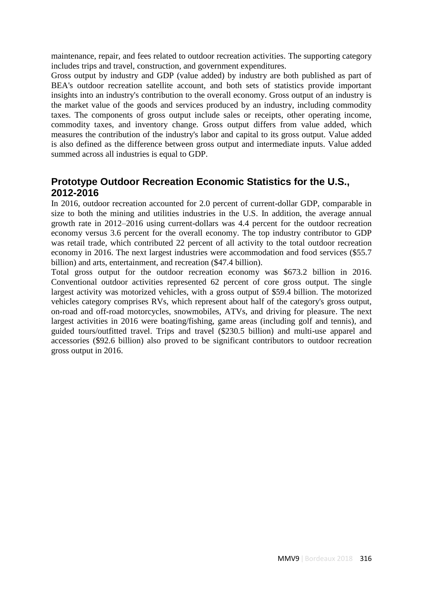maintenance, repair, and fees related to outdoor recreation activities. The supporting category includes trips and travel, construction, and government expenditures.

Gross output by industry and GDP (value added) by industry are both published as part of BEA's outdoor recreation satellite account, and both sets of statistics provide important insights into an industry's contribution to the overall economy. Gross output of an industry is the market value of the goods and services produced by an industry, including commodity taxes. The components of gross output include sales or receipts, other operating income, commodity taxes, and inventory change. Gross output differs from value added, which measures the contribution of the industry's labor and capital to its gross output. Value added is also defined as the difference between gross output and intermediate inputs. Value added summed across all industries is equal to GDP.

## **Prototype Outdoor Recreation Economic Statistics for the U.S., 2012-2016**

In 2016, outdoor recreation accounted for 2.0 percent of current-dollar GDP, comparable in size to both the mining and utilities industries in the U.S. In addition, the average annual growth rate in 2012–2016 using current-dollars was 4.4 percent for the outdoor recreation economy versus 3.6 percent for the overall economy. The top industry contributor to GDP was retail trade, which contributed 22 percent of all activity to the total outdoor recreation economy in 2016. The next largest industries were accommodation and food services (\$55.7 billion) and arts, entertainment, and recreation (\$47.4 billion).

Total gross output for the outdoor recreation economy was \$673.2 billion in 2016. Conventional outdoor activities represented 62 percent of core gross output. The single largest activity was motorized vehicles, with a gross output of \$59.4 billion. The motorized vehicles category comprises RVs, which represent about half of the category's gross output, on-road and off-road motorcycles, snowmobiles, ATVs, and driving for pleasure. The next largest activities in 2016 were boating/fishing, game areas (including golf and tennis), and guided tours/outfitted travel. Trips and travel (\$230.5 billion) and multi-use apparel and accessories (\$92.6 billion) also proved to be significant contributors to outdoor recreation gross output in 2016.